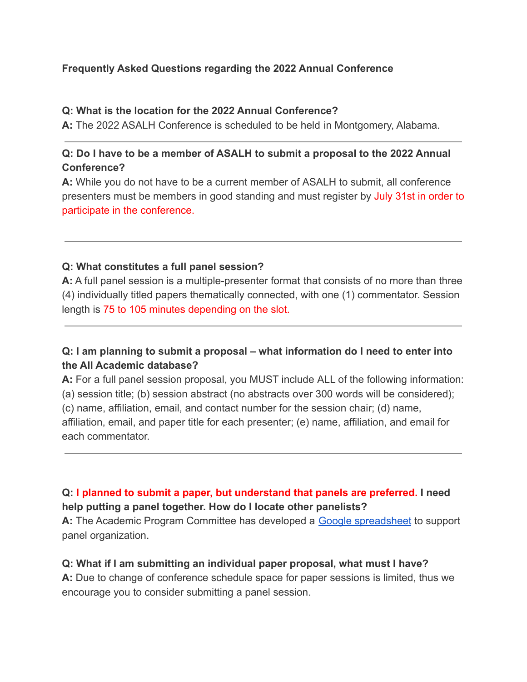## **Frequently Asked Questions regarding the 2022 Annual Conference**

#### **Q: What is the location for the 2022 Annual Conference?**

**A:** The 2022 ASALH Conference is scheduled to be held in Montgomery, Alabama.

## **Q: Do I have to be a member of ASALH to submit a proposal to the 2022 Annual Conference?**

**A:** While you do not have to be a current member of ASALH to submit, all conference presenters must be members in good standing and must register by July 31st in order to participate in the conference.

#### **Q: What constitutes a full panel session?**

**A:** A full panel session is a multiple-presenter format that consists of no more than three (4) individually titled papers thematically connected, with one (1) commentator. Session length is 75 to 105 minutes depending on the slot.

## **Q: I am planning to submit a proposal – what information do I need to enter into the All Academic database?**

**A:** For a full panel session proposal, you MUST include ALL of the following information: (a) session title; (b) session abstract (no abstracts over 300 words will be considered); (c) name, affiliation, email, and contact number for the session chair; (d) name, affiliation, email, and paper title for each presenter; (e) name, affiliation, and email for each commentator.

## **Q: I planned to submit a paper, but understand that panels are preferred. I need help putting a panel together. How do I locate other panelists?**

A: The Academic Program Committee has developed a [Google spreadsheet](https://docs.google.com/spreadsheets/d/13F8Th-dhBF_TBPvd-sj0ZWVnNjVGDSF2aPShl08lXpo/edit?usp=sharing) to support panel organization.

#### **Q: What if I am submitting an individual paper proposal, what must I have?**

**A:** Due to change of conference schedule space for paper sessions is limited, thus we encourage you to consider submitting a panel session.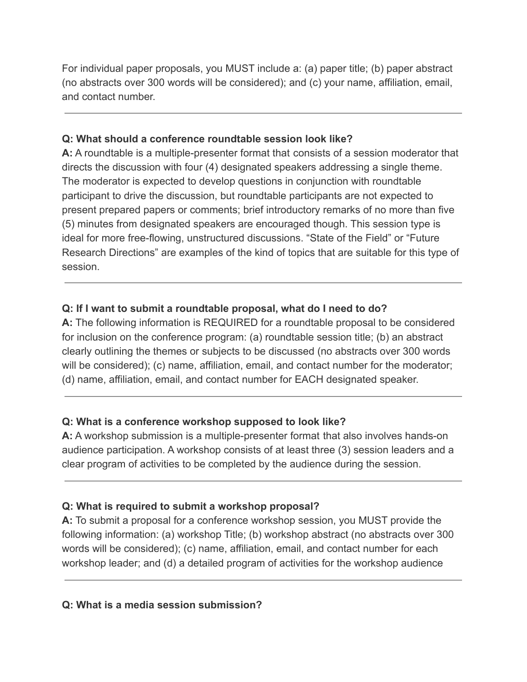For individual paper proposals, you MUST include a: (a) paper title; (b) paper abstract (no abstracts over 300 words will be considered); and (c) your name, affiliation, email, and contact number.

## **Q: What should a conference roundtable session look like?**

**A:** A roundtable is a multiple-presenter format that consists of a session moderator that directs the discussion with four (4) designated speakers addressing a single theme. The moderator is expected to develop questions in conjunction with roundtable participant to drive the discussion, but roundtable participants are not expected to present prepared papers or comments; brief introductory remarks of no more than five (5) minutes from designated speakers are encouraged though. This session type is ideal for more free-flowing, unstructured discussions. "State of the Field" or "Future Research Directions" are examples of the kind of topics that are suitable for this type of session.

## **Q: If I want to submit a roundtable proposal, what do I need to do?**

**A:** The following information is REQUIRED for a roundtable proposal to be considered for inclusion on the conference program: (a) roundtable session title; (b) an abstract clearly outlining the themes or subjects to be discussed (no abstracts over 300 words will be considered); (c) name, affiliation, email, and contact number for the moderator; (d) name, affiliation, email, and contact number for EACH designated speaker.

## **Q: What is a conference workshop supposed to look like?**

**A:** A workshop submission is a multiple-presenter format that also involves hands-on audience participation. A workshop consists of at least three (3) session leaders and a clear program of activities to be completed by the audience during the session.

## **Q: What is required to submit a workshop proposal?**

**A:** To submit a proposal for a conference workshop session, you MUST provide the following information: (a) workshop Title; (b) workshop abstract (no abstracts over 300 words will be considered); (c) name, affiliation, email, and contact number for each workshop leader; and (d) a detailed program of activities for the workshop audience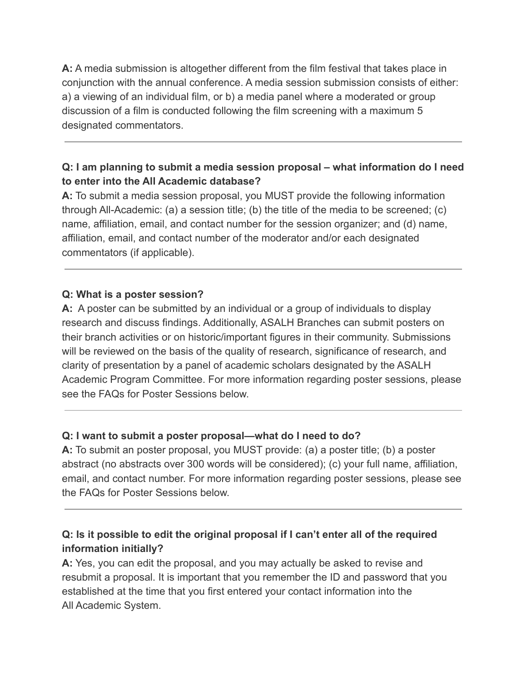**A:** A media submission is altogether different from the film festival that takes place in conjunction with the annual conference. A media session submission consists of either: a) a viewing of an individual film, or b) a media panel where a moderated or group discussion of a film is conducted following the film screening with a maximum 5 designated commentators.

## **Q: I am planning to submit a media session proposal – what information do I need to enter into the All Academic database?**

**A:** To submit a media session proposal, you MUST provide the following information through All-Academic: (a) a session title; (b) the title of the media to be screened; (c) name, affiliation, email, and contact number for the session organizer; and (d) name, affiliation, email, and contact number of the moderator and/or each designated commentators (if applicable).

### **Q: What is a poster session?**

**A:** A poster can be submitted by an individual or a group of individuals to display research and discuss findings. Additionally, ASALH Branches can submit posters on their branch activities or on historic/important figures in their community. Submissions will be reviewed on the basis of the quality of research, significance of research, and clarity of presentation by a panel of academic scholars designated by the ASALH Academic Program Committee. For more information regarding poster sessions, please see the FAQs for Poster Sessions below.

## **Q: I want to submit a poster proposal—what do I need to do?**

**A:** To submit an poster proposal, you MUST provide: (a) a poster title; (b) a poster abstract (no abstracts over 300 words will be considered); (c) your full name, affiliation, email, and contact number. For more information regarding poster sessions, please see the FAQs for Poster Sessions below.

# **Q: Is it possible to edit the original proposal if I can't enter all of the required information initially?**

**A:** Yes, you can edit the proposal, and you may actually be asked to revise and resubmit a proposal. It is important that you remember the ID and password that you established at the time that you first entered your contact information into the All Academic System.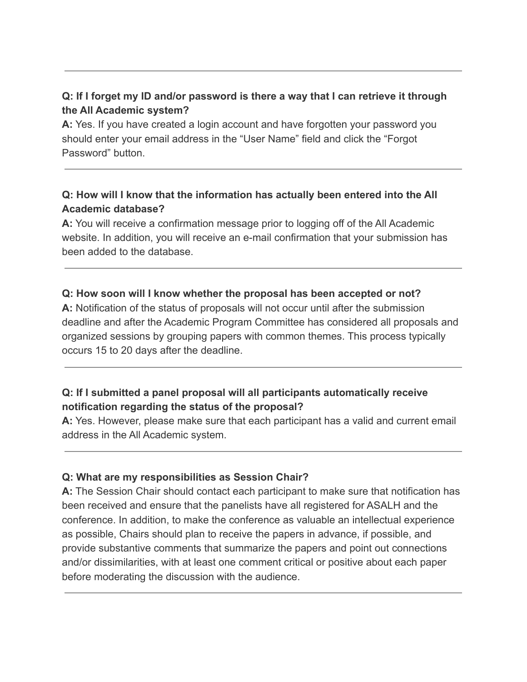# **Q: If I forget my ID and/or password is there a way that I can retrieve it through the All Academic system?**

**A:** Yes. If you have created a login account and have forgotten your password you should enter your email address in the "User Name" field and click the "Forgot Password" button

## **Q: How will I know that the information has actually been entered into the All Academic database?**

**A:** You will receive a confirmation message prior to logging off of the All Academic website. In addition, you will receive an e-mail confirmation that your submission has been added to the database.

### **Q: How soon will I know whether the proposal has been accepted or not?**

**A:** Notification of the status of proposals will not occur until after the submission deadline and after the Academic Program Committee has considered all proposals and organized sessions by grouping papers with common themes. This process typically occurs 15 to 20 days after the deadline.

## **Q: If I submitted a panel proposal will all participants automatically receive notification regarding the status of the proposal?**

**A:** Yes. However, please make sure that each participant has a valid and current email address in the All Academic system.

#### **Q: What are my responsibilities as Session Chair?**

**A:** The Session Chair should contact each participant to make sure that notification has been received and ensure that the panelists have all registered for ASALH and the conference. In addition, to make the conference as valuable an intellectual experience as possible, Chairs should plan to receive the papers in advance, if possible, and provide substantive comments that summarize the papers and point out connections and/or dissimilarities, with at least one comment critical or positive about each paper before moderating the discussion with the audience.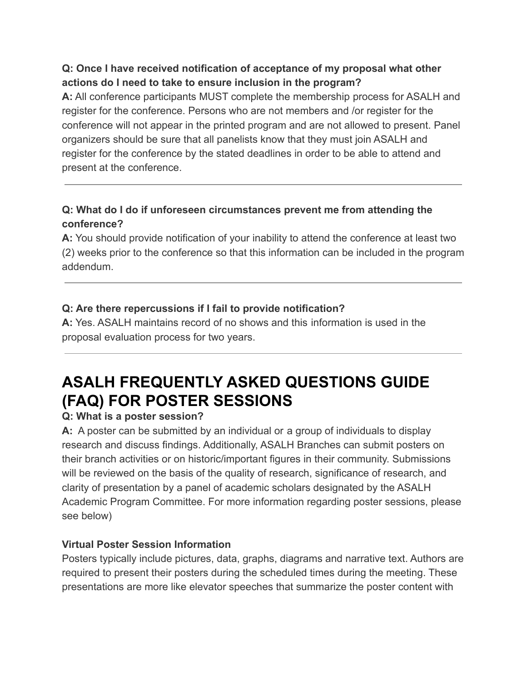## **Q: Once I have received notification of acceptance of my proposal what other actions do I need to take to ensure inclusion in the program?**

**A:** All conference participants MUST complete the membership process for ASALH and register for the conference. Persons who are not members and /or register for the conference will not appear in the printed program and are not allowed to present. Panel organizers should be sure that all panelists know that they must join ASALH and register for the conference by the stated deadlines in order to be able to attend and present at the conference.

# **Q: What do I do if unforeseen circumstances prevent me from attending the conference?**

**A:** You should provide notification of your inability to attend the conference at least two (2) weeks prior to the conference so that this information can be included in the program addendum.

# **Q: Are there repercussions if I fail to provide notification?**

**A:** Yes. ASALH maintains record of no shows and this information is used in the proposal evaluation process for two years.

# **ASALH FREQUENTLY ASKED QUESTIONS GUIDE (FAQ) FOR POSTER SESSIONS**

# **Q: What is a poster session?**

**A:** A poster can be submitted by an individual or a group of individuals to display research and discuss findings. Additionally, ASALH Branches can submit posters on their branch activities or on historic/important figures in their community. Submissions will be reviewed on the basis of the quality of research, significance of research, and clarity of presentation by a panel of academic scholars designated by the ASALH Academic Program Committee. For more information regarding poster sessions, please see below)

## **Virtual Poster Session Information**

Posters typically include pictures, data, graphs, diagrams and narrative text. Authors are required to present their posters during the scheduled times during the meeting. These presentations are more like elevator speeches that summarize the poster content with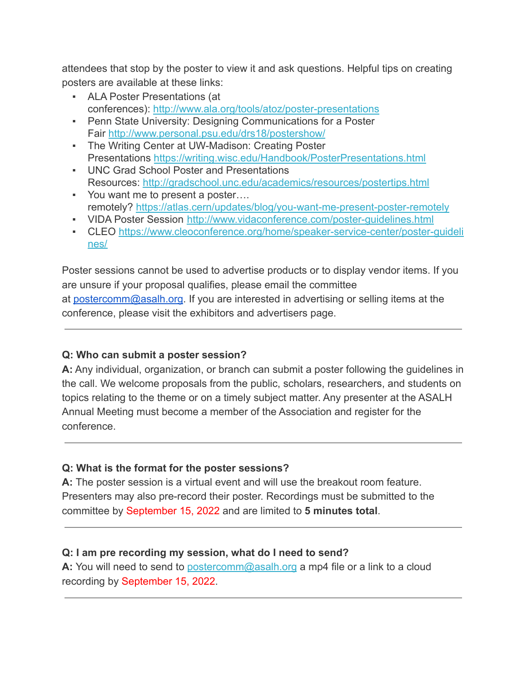attendees that stop by the poster to view it and ask questions. Helpful tips on creating posters are available at these links:

- ALA Poster Presentations (at conferences): <http://www.ala.org/tools/atoz/poster-presentations>
- **Penn State University: Designing Communications for a Poster** Fair <http://www.personal.psu.edu/drs18/postershow/>
- The Writing Center at UW-Madison: Creating Poster Presentations <https://writing.wisc.edu/Handbook/PosterPresentations.html>
- UNC Grad School Poster and Presentations Resources: <http://gradschool.unc.edu/academics/resources/postertips.html>
- You want me to present a poster…. remotely? <https://atlas.cern/updates/blog/you-want-me-present-poster-remotely>
- VIDA Poster Session <http://www.vidaconference.com/poster-guidelines.html>
- CLEO [https://www.cleoconference.org/home/speaker-service-center/poster-guideli](https://www.cleoconference.org/home/speaker-service-center/poster-guidelines/) [nes/](https://www.cleoconference.org/home/speaker-service-center/poster-guidelines/)

Poster sessions cannot be used to advertise products or to display vendor items. If you are unsure if your proposal qualifies, please email the committee at [postercomm@asalh.org.](mailto:postercomm@asalh.org) If you are interested in advertising or selling items at the conference, please visit the exhibitors and advertisers page.

## **Q: Who can submit a poster session?**

**A:** Any individual, organization, or branch can submit a poster following the guidelines in the call. We welcome proposals from the public, scholars, researchers, and students on topics relating to the theme or on a timely subject matter. Any presenter at the ASALH Annual Meeting must become a member of the Association and register for the conference.

# **Q: What is the format for the poster sessions?**

**A:** The poster session is a virtual event and will use the breakout room feature. Presenters may also pre-record their poster. Recordings must be submitted to the committee by September 15, 2022 and are limited to **5 minutes total**.

# **Q: I am pre recording my session, what do I need to send?**

**A:** You will need to send to [postercomm@asalh.org](mailto:postercomm@asalh.org) a mp4 file or a link to a cloud recording by September 15, 2022.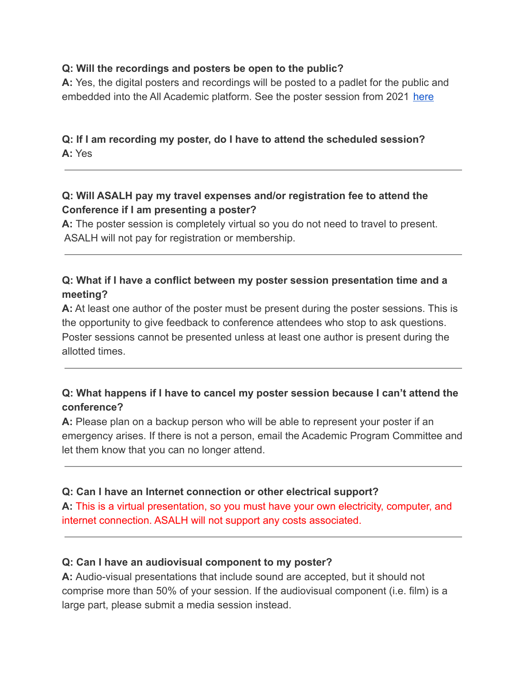#### **Q: Will the recordings and posters be open to the public?**

**A:** Yes, the digital posters and recordings will be posted to a padlet for the public and embedded into the All Academic platform. See the poster session from 2021 [here](https://padlet.com/anhaykal/v1hnojlso74dv1oz)

## **Q: If I am recording my poster, do I have to attend the scheduled session? A:** Yes

## **Q: Will ASALH pay my travel expenses and/or registration fee to attend the Conference if I am presenting a poster?**

**A:** The poster session is completely virtual so you do not need to travel to present. ASALH will not pay for registration or membership.

## **Q: What if I have a conflict between my poster session presentation time and a meeting?**

**A:** At least one author of the poster must be present during the poster sessions. This is the opportunity to give feedback to conference attendees who stop to ask questions. Poster sessions cannot be presented unless at least one author is present during the allotted times.

## **Q: What happens if I have to cancel my poster session because I can't attend the conference?**

**A:** Please plan on a backup person who will be able to represent your poster if an emergency arises. If there is not a person, email the Academic Program Committee and let them know that you can no longer attend.

#### **Q: Can I have an Internet connection or other electrical support?**

**A:** This is a virtual presentation, so you must have your own electricity, computer, and internet connection. ASALH will not support any costs associated.

#### **Q: Can I have an audiovisual component to my poster?**

**A:** Audio-visual presentations that include sound are accepted, but it should not comprise more than 50% of your session. If the audiovisual component (i.e. film) is a large part, please submit a media session instead.